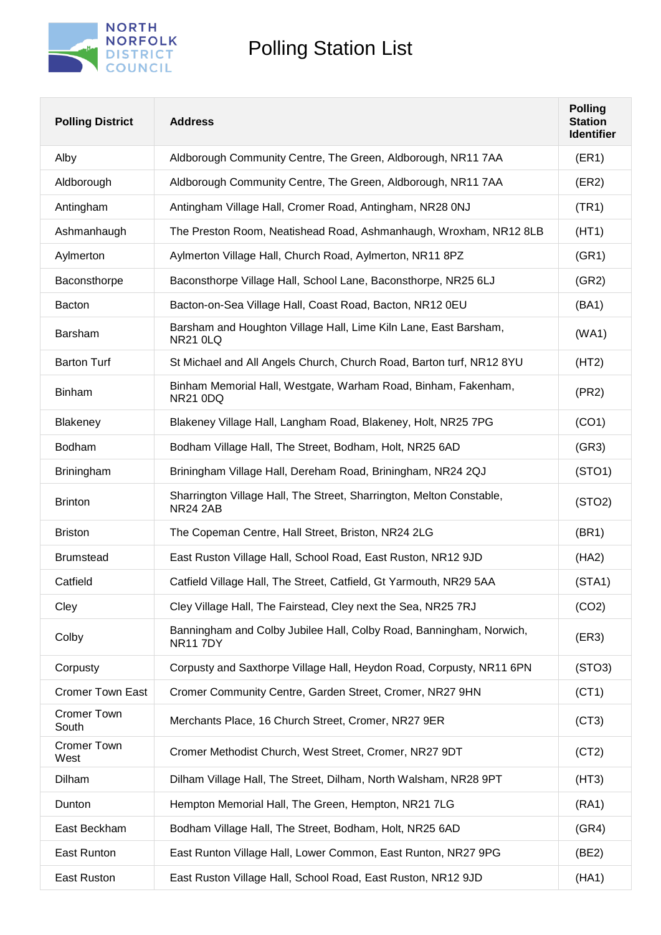

| <b>Polling District</b>     | <b>Address</b>                                                                          | <b>Polling</b><br><b>Station</b><br><b>Identifier</b> |
|-----------------------------|-----------------------------------------------------------------------------------------|-------------------------------------------------------|
| Alby                        | Aldborough Community Centre, The Green, Aldborough, NR11 7AA                            | (ER1)                                                 |
| Aldborough                  | Aldborough Community Centre, The Green, Aldborough, NR11 7AA                            | (ER2)                                                 |
| Antingham                   | Antingham Village Hall, Cromer Road, Antingham, NR28 0NJ                                | (TR1)                                                 |
| Ashmanhaugh                 | The Preston Room, Neatishead Road, Ashmanhaugh, Wroxham, NR12 8LB                       | (HT1)                                                 |
| Aylmerton                   | Aylmerton Village Hall, Church Road, Aylmerton, NR11 8PZ                                | (GR1)                                                 |
| Baconsthorpe                | Baconsthorpe Village Hall, School Lane, Baconsthorpe, NR25 6LJ                          | (GR2)                                                 |
| Bacton                      | Bacton-on-Sea Village Hall, Coast Road, Bacton, NR12 0EU                                | (BA1)                                                 |
| Barsham                     | Barsham and Houghton Village Hall, Lime Kiln Lane, East Barsham,<br><b>NR21 0LQ</b>     | (WA1)                                                 |
| <b>Barton Turf</b>          | St Michael and All Angels Church, Church Road, Barton turf, NR12 8YU                    | (HT2)                                                 |
| <b>Binham</b>               | Binham Memorial Hall, Westgate, Warham Road, Binham, Fakenham,<br><b>NR21 0DQ</b>       | (PR2)                                                 |
| Blakeney                    | Blakeney Village Hall, Langham Road, Blakeney, Holt, NR25 7PG                           | (CO1)                                                 |
| Bodham                      | Bodham Village Hall, The Street, Bodham, Holt, NR25 6AD                                 | (GR3)                                                 |
| <b>Briningham</b>           | Briningham Village Hall, Dereham Road, Briningham, NR24 2QJ                             | (STO1)                                                |
| <b>Brinton</b>              | Sharrington Village Hall, The Street, Sharrington, Melton Constable,<br><b>NR24 2AB</b> | (STO2)                                                |
| <b>Briston</b>              | The Copeman Centre, Hall Street, Briston, NR24 2LG                                      | (BR1)                                                 |
| <b>Brumstead</b>            | East Ruston Village Hall, School Road, East Ruston, NR12 9JD                            | (HA2)                                                 |
| Catfield                    | Catfield Village Hall, The Street, Catfield, Gt Yarmouth, NR29 5AA                      | (STA1)                                                |
| Cley                        | Cley Village Hall, The Fairstead, Cley next the Sea, NR25 7RJ                           | (CO2)                                                 |
| Colby                       | Banningham and Colby Jubilee Hall, Colby Road, Banningham, Norwich,<br><b>NR117DY</b>   | (ER3)                                                 |
| Corpusty                    | Corpusty and Saxthorpe Village Hall, Heydon Road, Corpusty, NR11 6PN                    | (STO3)                                                |
| <b>Cromer Town East</b>     | Cromer Community Centre, Garden Street, Cromer, NR27 9HN                                | (CT1)                                                 |
| <b>Cromer Town</b><br>South | Merchants Place, 16 Church Street, Cromer, NR27 9ER                                     | (CT3)                                                 |
| <b>Cromer Town</b><br>West  | Cromer Methodist Church, West Street, Cromer, NR27 9DT                                  | (CT2)                                                 |
| Dilham                      | Dilham Village Hall, The Street, Dilham, North Walsham, NR28 9PT                        | (HT3)                                                 |
| Dunton                      | Hempton Memorial Hall, The Green, Hempton, NR21 7LG                                     | (RA1)                                                 |
| East Beckham                | Bodham Village Hall, The Street, Bodham, Holt, NR25 6AD                                 | (GR4)                                                 |
| East Runton                 | East Runton Village Hall, Lower Common, East Runton, NR27 9PG                           | (BE2)                                                 |
| East Ruston                 | East Ruston Village Hall, School Road, East Ruston, NR12 9JD                            | (HA1)                                                 |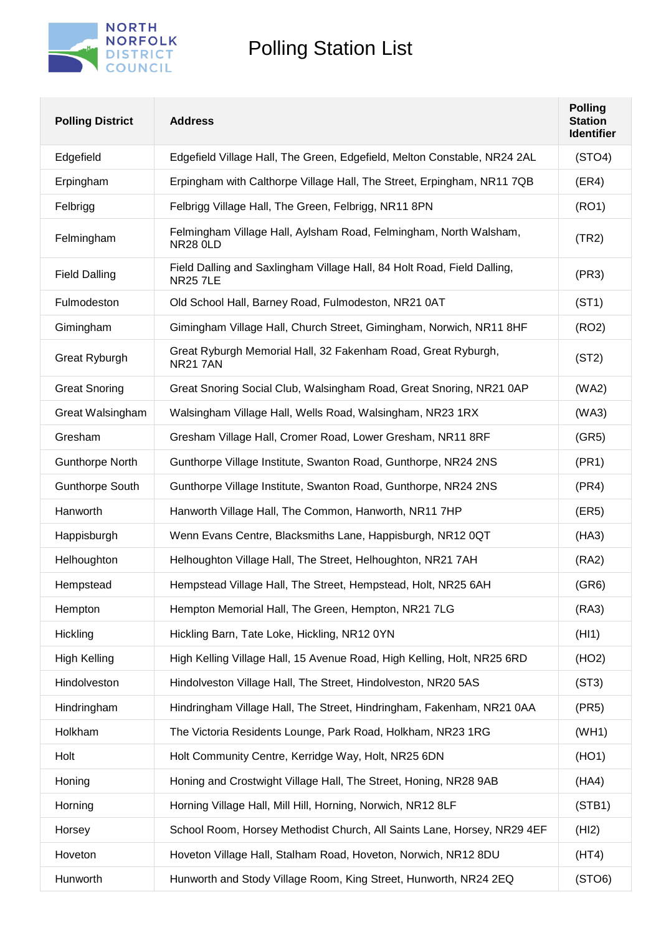

| <b>Polling District</b> | <b>Address</b>                                                                             | <b>Polling</b><br><b>Station</b><br><b>Identifier</b> |
|-------------------------|--------------------------------------------------------------------------------------------|-------------------------------------------------------|
| Edgefield               | Edgefield Village Hall, The Green, Edgefield, Melton Constable, NR24 2AL                   | (STO4)                                                |
| Erpingham               | Erpingham with Calthorpe Village Hall, The Street, Erpingham, NR11 7QB                     | (ER4)                                                 |
| Felbrigg                | Felbrigg Village Hall, The Green, Felbrigg, NR11 8PN                                       | (RO1)                                                 |
| Felmingham              | Felmingham Village Hall, Aylsham Road, Felmingham, North Walsham,<br><b>NR28 0LD</b>       | (TR2)                                                 |
| <b>Field Dalling</b>    | Field Dalling and Saxlingham Village Hall, 84 Holt Road, Field Dalling,<br><b>NR25 7LE</b> | (PR3)                                                 |
| Fulmodeston             | Old School Hall, Barney Road, Fulmodeston, NR21 0AT                                        | (ST1)                                                 |
| Gimingham               | Gimingham Village Hall, Church Street, Gimingham, Norwich, NR11 8HF                        | (RO2)                                                 |
| Great Ryburgh           | Great Ryburgh Memorial Hall, 32 Fakenham Road, Great Ryburgh,<br><b>NR21 7AN</b>           | (ST2)                                                 |
| <b>Great Snoring</b>    | Great Snoring Social Club, Walsingham Road, Great Snoring, NR21 0AP                        | (WA2)                                                 |
| Great Walsingham        | Walsingham Village Hall, Wells Road, Walsingham, NR23 1RX                                  | (WA3)                                                 |
| Gresham                 | Gresham Village Hall, Cromer Road, Lower Gresham, NR11 8RF                                 | (GR5)                                                 |
| <b>Gunthorpe North</b>  | Gunthorpe Village Institute, Swanton Road, Gunthorpe, NR24 2NS                             | (PR1)                                                 |
| <b>Gunthorpe South</b>  | Gunthorpe Village Institute, Swanton Road, Gunthorpe, NR24 2NS                             | (PR4)                                                 |
| Hanworth                | Hanworth Village Hall, The Common, Hanworth, NR11 7HP                                      | (ER5)                                                 |
| Happisburgh             | Wenn Evans Centre, Blacksmiths Lane, Happisburgh, NR12 0QT                                 | (HA3)                                                 |
| Helhoughton             | Helhoughton Village Hall, The Street, Helhoughton, NR21 7AH                                | (RA2)                                                 |
| Hempstead               | Hempstead Village Hall, The Street, Hempstead, Holt, NR25 6AH                              | (GR6)                                                 |
| Hempton                 | Hempton Memorial Hall, The Green, Hempton, NR21 7LG                                        | (RA3)                                                 |
| Hickling                | Hickling Barn, Tate Loke, Hickling, NR12 0YN                                               | (HI1)                                                 |
| <b>High Kelling</b>     | High Kelling Village Hall, 15 Avenue Road, High Kelling, Holt, NR25 6RD                    | (HO2)                                                 |
| Hindolveston            | Hindolveston Village Hall, The Street, Hindolveston, NR20 5AS                              | (ST3)                                                 |
| Hindringham             | Hindringham Village Hall, The Street, Hindringham, Fakenham, NR21 0AA                      | (PR5)                                                 |
| Holkham                 | The Victoria Residents Lounge, Park Road, Holkham, NR23 1RG                                | (WH1)                                                 |
| Holt                    | Holt Community Centre, Kerridge Way, Holt, NR25 6DN                                        | (HO1)                                                 |
| Honing                  | Honing and Crostwight Village Hall, The Street, Honing, NR28 9AB                           | (HA4)                                                 |
| Horning                 | Horning Village Hall, Mill Hill, Horning, Norwich, NR12 8LF                                | (STB1)                                                |
| Horsey                  | School Room, Horsey Methodist Church, All Saints Lane, Horsey, NR29 4EF                    | (HI2)                                                 |
| Hoveton                 | Hoveton Village Hall, Stalham Road, Hoveton, Norwich, NR12 8DU                             | (HT4)                                                 |
| Hunworth                | Hunworth and Stody Village Room, King Street, Hunworth, NR24 2EQ                           | (STO6)                                                |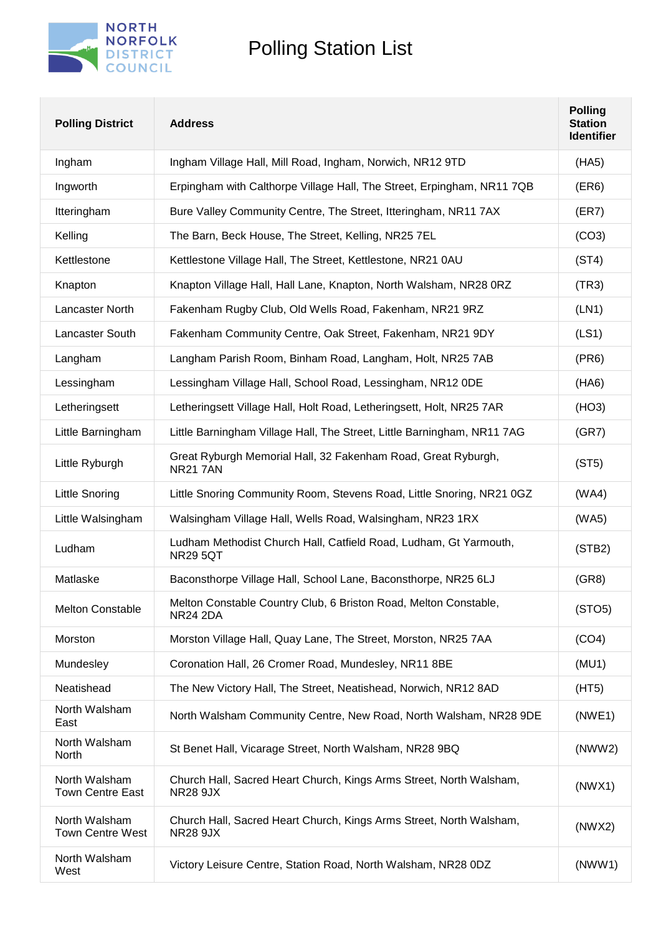

| <b>Polling District</b>                  | <b>Address</b>                                                                         | <b>Polling</b><br><b>Station</b><br><b>Identifier</b> |
|------------------------------------------|----------------------------------------------------------------------------------------|-------------------------------------------------------|
| Ingham                                   | Ingham Village Hall, Mill Road, Ingham, Norwich, NR12 9TD                              | (HA5)                                                 |
| Ingworth                                 | Erpingham with Calthorpe Village Hall, The Street, Erpingham, NR11 7QB                 | (ER6)                                                 |
| Itteringham                              | Bure Valley Community Centre, The Street, Itteringham, NR11 7AX                        | (ER7)                                                 |
| Kelling                                  | The Barn, Beck House, The Street, Kelling, NR25 7EL                                    | (CO3)                                                 |
| Kettlestone                              | Kettlestone Village Hall, The Street, Kettlestone, NR21 0AU                            | (ST4)                                                 |
| Knapton                                  | Knapton Village Hall, Hall Lane, Knapton, North Walsham, NR28 0RZ                      | (TR3)                                                 |
| Lancaster North                          | Fakenham Rugby Club, Old Wells Road, Fakenham, NR21 9RZ                                | (LN1)                                                 |
| Lancaster South                          | Fakenham Community Centre, Oak Street, Fakenham, NR21 9DY                              | (LS1)                                                 |
| Langham                                  | Langham Parish Room, Binham Road, Langham, Holt, NR25 7AB                              | (PR6)                                                 |
| Lessingham                               | Lessingham Village Hall, School Road, Lessingham, NR12 ODE                             | (HAG)                                                 |
| Letheringsett                            | Letheringsett Village Hall, Holt Road, Letheringsett, Holt, NR25 7AR                   | (HO3)                                                 |
| Little Barningham                        | Little Barningham Village Hall, The Street, Little Barningham, NR11 7AG                | (GR7)                                                 |
| Little Ryburgh                           | Great Ryburgh Memorial Hall, 32 Fakenham Road, Great Ryburgh,<br><b>NR21 7AN</b>       | (ST5)                                                 |
| <b>Little Snoring</b>                    | Little Snoring Community Room, Stevens Road, Little Snoring, NR21 0GZ                  | (WA4)                                                 |
| Little Walsingham                        | Walsingham Village Hall, Wells Road, Walsingham, NR23 1RX                              | (WA5)                                                 |
| Ludham                                   | Ludham Methodist Church Hall, Catfield Road, Ludham, Gt Yarmouth,<br><b>NR29 5QT</b>   | (STB2)                                                |
| Matlaske                                 | Baconsthorpe Village Hall, School Lane, Baconsthorpe, NR25 6LJ                         | (GR8)                                                 |
| <b>Melton Constable</b>                  | Melton Constable Country Club, 6 Briston Road, Melton Constable,<br><b>NR24 2DA</b>    | (STO5)                                                |
| Morston                                  | Morston Village Hall, Quay Lane, The Street, Morston, NR25 7AA                         | (CO4)                                                 |
| Mundesley                                | Coronation Hall, 26 Cromer Road, Mundesley, NR11 8BE                                   | (MU1)                                                 |
| Neatishead                               | The New Victory Hall, The Street, Neatishead, Norwich, NR12 8AD                        | (HT5)                                                 |
| North Walsham<br>East                    | North Walsham Community Centre, New Road, North Walsham, NR28 9DE                      | (NWE1)                                                |
| North Walsham<br>North                   | St Benet Hall, Vicarage Street, North Walsham, NR28 9BQ                                | (NWW2)                                                |
| North Walsham<br><b>Town Centre East</b> | Church Hall, Sacred Heart Church, Kings Arms Street, North Walsham,<br><b>NR28 9JX</b> | (NWX1)                                                |
| North Walsham<br><b>Town Centre West</b> | Church Hall, Sacred Heart Church, Kings Arms Street, North Walsham,<br><b>NR28 9JX</b> | (NWX2)                                                |
| North Walsham<br>West                    | Victory Leisure Centre, Station Road, North Walsham, NR28 0DZ                          | (NWW1)                                                |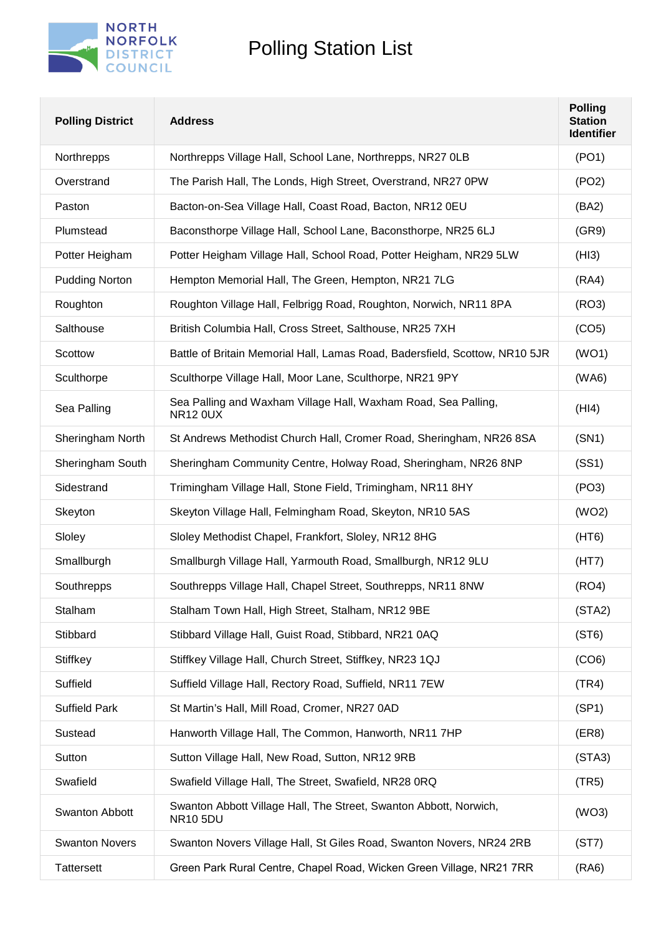

| <b>Polling District</b> | <b>Address</b>                                                                       | <b>Polling</b><br><b>Station</b><br><b>Identifier</b> |
|-------------------------|--------------------------------------------------------------------------------------|-------------------------------------------------------|
| Northrepps              | Northrepps Village Hall, School Lane, Northrepps, NR27 OLB                           | (PO1)                                                 |
| Overstrand              | The Parish Hall, The Londs, High Street, Overstrand, NR27 0PW                        | (PO2)                                                 |
| Paston                  | Bacton-on-Sea Village Hall, Coast Road, Bacton, NR12 0EU                             | (BA2)                                                 |
| Plumstead               | Baconsthorpe Village Hall, School Lane, Baconsthorpe, NR25 6LJ                       | (GR9)                                                 |
| Potter Heigham          | Potter Heigham Village Hall, School Road, Potter Heigham, NR29 5LW                   | (HI3)                                                 |
| <b>Pudding Norton</b>   | Hempton Memorial Hall, The Green, Hempton, NR21 7LG                                  | (RA4)                                                 |
| Roughton                | Roughton Village Hall, Felbrigg Road, Roughton, Norwich, NR11 8PA                    | (RO3)                                                 |
| Salthouse               | British Columbia Hall, Cross Street, Salthouse, NR25 7XH                             | (CO5)                                                 |
| Scottow                 | Battle of Britain Memorial Hall, Lamas Road, Badersfield, Scottow, NR10 5JR          | (WO1)                                                 |
| Sculthorpe              | Sculthorpe Village Hall, Moor Lane, Sculthorpe, NR21 9PY                             | (WA6)                                                 |
| Sea Palling             | Sea Palling and Waxham Village Hall, Waxham Road, Sea Palling,<br><b>NR12 0UX</b>    | (HI4)                                                 |
| Sheringham North        | St Andrews Methodist Church Hall, Cromer Road, Sheringham, NR26 8SA                  | (SN1)                                                 |
| Sheringham South        | Sheringham Community Centre, Holway Road, Sheringham, NR26 8NP                       | (SS1)                                                 |
| Sidestrand              | Trimingham Village Hall, Stone Field, Trimingham, NR11 8HY                           | (PO3)                                                 |
| Skeyton                 | Skeyton Village Hall, Felmingham Road, Skeyton, NR10 5AS                             | (WO2)                                                 |
| Sloley                  | Sloley Methodist Chapel, Frankfort, Sloley, NR12 8HG                                 | (HT6)                                                 |
| Smallburgh              | Smallburgh Village Hall, Yarmouth Road, Smallburgh, NR12 9LU                         | (HT7)                                                 |
| Southrepps              | Southrepps Village Hall, Chapel Street, Southrepps, NR11 8NW                         | (RO4)                                                 |
| Stalham                 | Stalham Town Hall, High Street, Stalham, NR12 9BE                                    | (STA2)                                                |
| Stibbard                | Stibbard Village Hall, Guist Road, Stibbard, NR21 0AQ                                | (ST6)                                                 |
| Stiffkey                | Stiffkey Village Hall, Church Street, Stiffkey, NR23 1QJ                             | (CO6)                                                 |
| Suffield                | Suffield Village Hall, Rectory Road, Suffield, NR11 7EW                              | (TR4)                                                 |
| <b>Suffield Park</b>    | St Martin's Hall, Mill Road, Cromer, NR27 0AD                                        | (SP1)                                                 |
| Sustead                 | Hanworth Village Hall, The Common, Hanworth, NR11 7HP                                | (ER8)                                                 |
| Sutton                  | Sutton Village Hall, New Road, Sutton, NR12 9RB                                      | (STA3)                                                |
| Swafield                | Swafield Village Hall, The Street, Swafield, NR28 0RQ                                | (TR5)                                                 |
| <b>Swanton Abbott</b>   | Swanton Abbott Village Hall, The Street, Swanton Abbott, Norwich,<br><b>NR10 5DU</b> | (WO3)                                                 |
| <b>Swanton Novers</b>   | Swanton Novers Village Hall, St Giles Road, Swanton Novers, NR24 2RB                 | (ST7)                                                 |
| <b>Tattersett</b>       | Green Park Rural Centre, Chapel Road, Wicken Green Village, NR21 7RR                 | (RA6)                                                 |